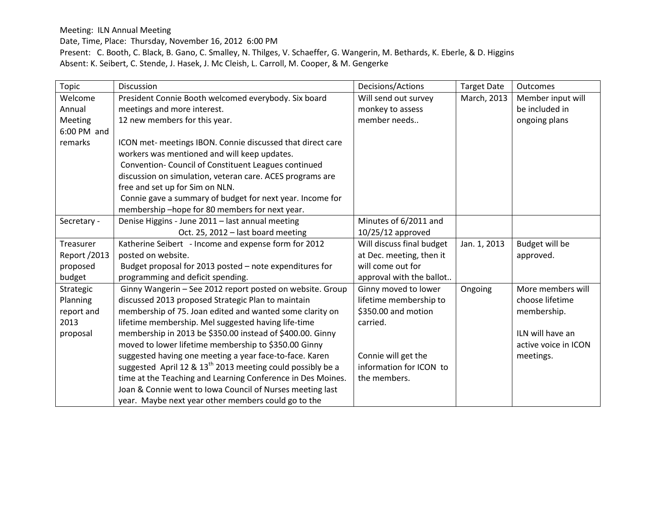Meeting: ILN Annual Meeting Date, Time, Place: Thursday, November 16, 2012 6:00 PM Present: C. Booth, C. Black, B. Gano, C. Smalley, N. Thilges, V. Schaeffer, G. Wangerin, M. Bethards, K. Eberle, & D. Higgins Absent: K. Seibert, C. Stende, J. Hasek, J. Mc Cleish, L. Carroll, M. Cooper, & M. Gengerke

| <b>Topic</b> | Discussion                                                             | Decisions/Actions         | <b>Target Date</b> | Outcomes             |
|--------------|------------------------------------------------------------------------|---------------------------|--------------------|----------------------|
| Welcome      | President Connie Booth welcomed everybody. Six board                   | Will send out survey      | March, 2013        | Member input will    |
| Annual       | meetings and more interest.                                            | monkey to assess          |                    | be included in       |
| Meeting      | 12 new members for this year.                                          | member needs              |                    | ongoing plans        |
| 6:00 PM and  |                                                                        |                           |                    |                      |
| remarks      | ICON met- meetings IBON. Connie discussed that direct care             |                           |                    |                      |
|              | workers was mentioned and will keep updates.                           |                           |                    |                      |
|              | Convention- Council of Constituent Leagues continued                   |                           |                    |                      |
|              | discussion on simulation, veteran care. ACES programs are              |                           |                    |                      |
|              | free and set up for Sim on NLN.                                        |                           |                    |                      |
|              | Connie gave a summary of budget for next year. Income for              |                           |                    |                      |
|              | membership-hope for 80 members for next year.                          |                           |                    |                      |
| Secretary -  | Denise Higgins - June 2011 - last annual meeting                       | Minutes of 6/2011 and     |                    |                      |
|              | Oct. 25, 2012 - last board meeting                                     | $10/25/12$ approved       |                    |                      |
| Treasurer    | Katherine Seibert - Income and expense form for 2012                   | Will discuss final budget | Jan. 1, 2013       | Budget will be       |
| Report /2013 | posted on website.                                                     | at Dec. meeting, then it  |                    | approved.            |
| proposed     | Budget proposal for 2013 posted - note expenditures for                | will come out for         |                    |                      |
| budget       | programming and deficit spending.                                      | approval with the ballot  |                    |                      |
| Strategic    | Ginny Wangerin - See 2012 report posted on website. Group              | Ginny moved to lower      | Ongoing            | More members will    |
| Planning     | discussed 2013 proposed Strategic Plan to maintain                     | lifetime membership to    |                    | choose lifetime      |
| report and   | membership of 75. Joan edited and wanted some clarity on               | \$350.00 and motion       |                    | membership.          |
| 2013         | lifetime membership. Mel suggested having life-time                    | carried.                  |                    |                      |
| proposal     | membership in 2013 be \$350.00 instead of \$400.00. Ginny              |                           |                    | ILN will have an     |
|              | moved to lower lifetime membership to \$350.00 Ginny                   |                           |                    | active voice in ICON |
|              | suggested having one meeting a year face-to-face. Karen                | Connie will get the       |                    | meetings.            |
|              | suggested April 12 & 13 <sup>th</sup> 2013 meeting could possibly be a | information for ICON to   |                    |                      |
|              | time at the Teaching and Learning Conference in Des Moines.            | the members.              |                    |                      |
|              | Joan & Connie went to Iowa Council of Nurses meeting last              |                           |                    |                      |
|              | year. Maybe next year other members could go to the                    |                           |                    |                      |